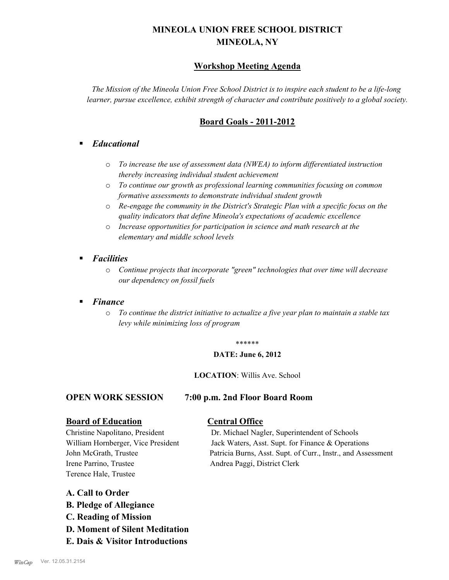# **MINEOLA UNION FREE SCHOOL DISTRICT MINEOLA, NY**

### **Workshop Meeting Agenda**

*The Mission of the Mineola Union Free School District is to inspire each student to be a life-long learner, pursue excellence, exhibit strength of character and contribute positively to a global society.*

## **Board Goals - 2011-2012**

### § *Educational*

- o *To increase the use of assessment data (NWEA) to inform differentiated instruction thereby increasing individual student achievement*
- o *To continue our growth as professional learning communities focusing on common formative assessments to demonstrate individual student growth*
- o *Re-engage the community in the District's Strategic Plan with a specific focus on the quality indicators that define Mineola's expectations of academic excellence*
- o *Increase opportunities for participation in science and math research at the elementary and middle school levels*
- *Facilities* 
	- o *Continue projects that incorporate "green" technologies that over time will decrease our dependency on fossil fuels*

#### § *Finance*

o *To continue the district initiative to actualize a five year plan to maintain a stable tax levy while minimizing loss of program*

#### \*\*\*\*\*\*

#### **DATE: June 6, 2012**

#### **LOCATION**: Willis Ave. School

#### **OPEN WORK SESSION 7:00 p.m. 2nd Floor Board Room**

#### **Board of Education Central Office**

Irene Parrino, Trustee Andrea Paggi, District Clerk Terence Hale, Trustee

Christine Napolitano, President Dr. Michael Nagler, Superintendent of Schools William Hornberger, Vice President Jack Waters, Asst. Supt. for Finance & Operations John McGrath, Trustee Patricia Burns, Asst. Supt. of Curr., Instr., and Assessment

### **A. Call to Order**

- **B. Pledge of Allegiance**
- **C. Reading of Mission**
- **D. Moment of Silent Meditation**
- **E. Dais & Visitor Introductions**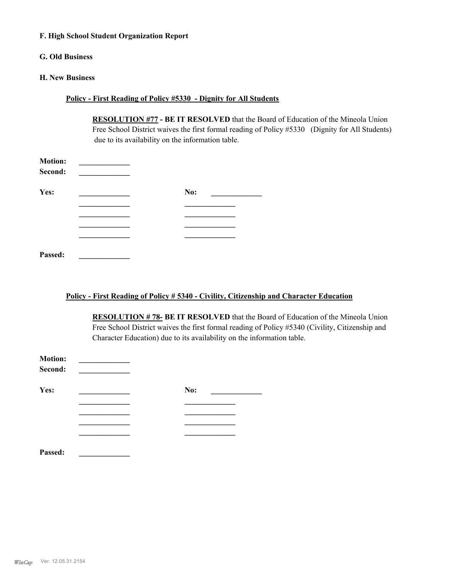#### **F. High School Student Organization Report**

#### **G. Old Business**

#### **H. New Business**

#### **Policy - First Reading of Policy #5330 - Dignity for All Students**

**RESOLUTION #77 - BE IT RESOLVED** that the Board of Education of the Mineola Union Free School District waives the first formal reading of Policy #5330 (Dignity for All Students) due to its availability on the information table.

| <b>Motion:</b><br>Second: |     |
|---------------------------|-----|
| Yes:                      | No: |
|                           |     |
|                           |     |
|                           |     |
|                           |     |
| Passed:                   |     |

#### **Policy - First Reading of Policy # 5340 - Civility, Citizenship and Character Education**

**RESOLUTION # 78- BE IT RESOLVED** that the Board of Education of the Mineola Union Free School District waives the first formal reading of Policy #5340 (Civility, Citizenship and Character Education) due to its availability on the information table.

| <b>Motion:</b><br>Second: |     |  |
|---------------------------|-----|--|
| Yes:                      | No: |  |
|                           |     |  |
|                           |     |  |
|                           |     |  |
|                           |     |  |
| Passed:                   |     |  |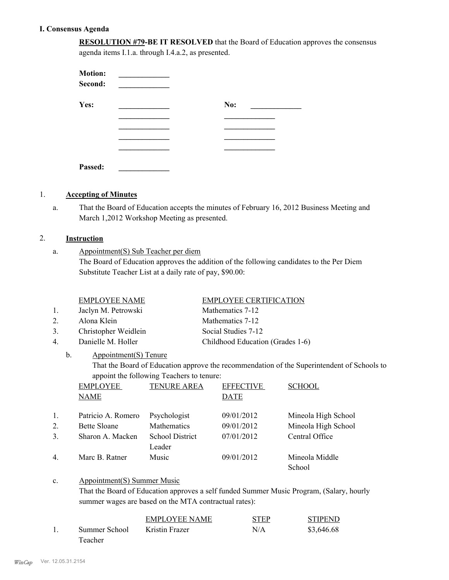#### **I. Consensus Agenda**

**RESOLUTION #79-BE IT RESOLVED** that the Board of Education approves the consensus agenda items I.1.a. through I.4.a.2, as presented.

| <b>Motion:</b><br>Second: |     |
|---------------------------|-----|
| Yes:                      | No: |
|                           |     |
|                           |     |
|                           |     |
|                           |     |
| Passed:                   |     |

#### 1. **Accepting of Minutes**

That the Board of Education accepts the minutes of February 16, 2012 Business Meeting and March 1,2012 Workshop Meeting as presented. a.

#### 2. **Instruction**

Appointment(S) Sub Teacher per diem The Board of Education approves the addition of the following candidates to the Per Diem Substitute Teacher List at a daily rate of pay, \$90.00: a.

|    | <b>EMPLOYEE NAME</b>        | <b>EMPLOYEE CERTIFICATION</b>    |
|----|-----------------------------|----------------------------------|
| 1. | Jaclyn M. Petrowski         | Mathematics 7-12                 |
| 2. | Alona Klein                 | Mathematics 7-12                 |
| 3. | Christopher Weidlein        | Social Studies 7-12              |
| 4. | Danielle M. Holler          | Childhood Education (Grades 1-6) |
|    | b.<br>Appointment(S) Tenure |                                  |

# That the Board of Education approve the recommendation of the Superintendent of Schools to appoint the following Teachers to tenure:

|    | <b>EMPLOYEE</b>     | <b>TENURE AREA</b>               | <b>EFFECTIVE</b> | <b>SCHOOL</b>            |
|----|---------------------|----------------------------------|------------------|--------------------------|
|    | <b>NAME</b>         |                                  | <b>DATE</b>      |                          |
| 1. | Patricio A. Romero  | Psychologist                     | 09/01/2012       | Mineola High School      |
| 2. | <b>Bette Sloane</b> | Mathematics                      | 09/01/2012       | Mineola High School      |
| 3. | Sharon A. Macken    | <b>School District</b><br>Leader | 07/01/2012       | Central Office           |
| 4. | Marc B. Ratner      | Music                            | 09/01/2012       | Mineola Middle<br>School |

#### Appointment(S) Summer Music c.

That the Board of Education approves a self funded Summer Music Program, (Salary, hourly summer wages are based on the MTA contractual rates):

|               | <b>EMPLOYEE NAME</b> | <b>STEP</b> | <b>STIPEND</b> |
|---------------|----------------------|-------------|----------------|
| Summer School | Kristin Frazer       | N/A         | \$3,646.68     |
| Teacher       |                      |             |                |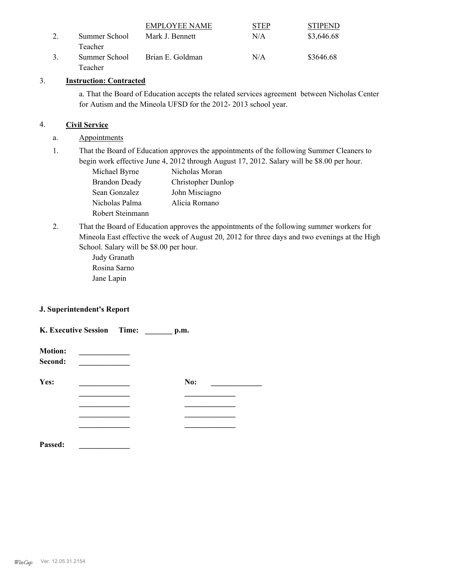|               | EMPLOYEE NAME    | STEP | <b>STIPEND</b> |
|---------------|------------------|------|----------------|
| Summer School | Mark J. Bennett  | N/A  | \$3,646.68     |
| Teacher       |                  |      |                |
| Summer School | Brian E. Goldman | N/A  | \$3646.68      |
| Teacher       |                  |      |                |

#### 3. **Instruction: Contracted**

a. That the Board of Education accepts the related services agreement between Nicholas Center for Autism and the Mineola UFSD for the 2012- 2013 school year.

#### 4. **Civil Service**

- a. Appointments
- That the Board of Education approves the appointments of the following Summer Cleaners to begin work effective June 4, 2012 through August 17, 2012. Salary will be \$8.00 per hour. 1.

| Michael Byrne        | Nicholas Moran     |
|----------------------|--------------------|
| <b>Brandon Deady</b> | Christopher Dunlop |
| Sean Gonzalez        | John Misciagno     |
| Nicholas Palma       | Alicia Romano      |
| Robert Steinmann     |                    |

That the Board of Education approves the appointments of the following summer workers for Mineola East effective the week of August 20, 2012 for three days and two evenings at the High School. Salary will be \$8.00 per hour. 2.

> Judy Granath Rosina Sarno Jane Lapin

#### **J. Superintendent's Report**

| K. Executive Session Time: |  | p.m. |  |  |
|----------------------------|--|------|--|--|
| <b>Motion:</b><br>Second:  |  |      |  |  |
| Yes:                       |  | No:  |  |  |
|                            |  |      |  |  |
|                            |  |      |  |  |
|                            |  |      |  |  |
| Passed:                    |  |      |  |  |